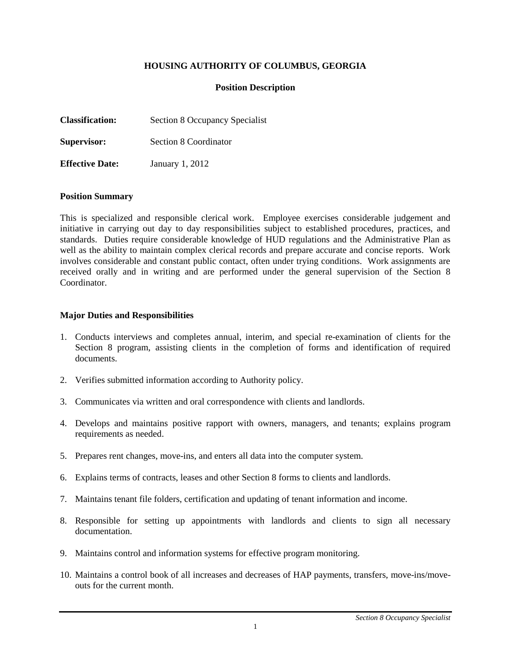# **HOUSING AUTHORITY OF COLUMBUS, GEORGIA**

### **Position Description**

| <b>Classification:</b> | Section 8 Occupancy Specialist |
|------------------------|--------------------------------|
| Supervisor:            | Section 8 Coordinator          |
| <b>Effective Date:</b> | January 1, 2012                |

#### **Position Summary**

This is specialized and responsible clerical work. Employee exercises considerable judgement and initiative in carrying out day to day responsibilities subject to established procedures, practices, and standards. Duties require considerable knowledge of HUD regulations and the Administrative Plan as well as the ability to maintain complex clerical records and prepare accurate and concise reports. Work involves considerable and constant public contact, often under trying conditions. Work assignments are received orally and in writing and are performed under the general supervision of the Section 8 **Coordinator** 

#### **Major Duties and Responsibilities**

- 1. Conducts interviews and completes annual, interim, and special re-examination of clients for the Section 8 program, assisting clients in the completion of forms and identification of required documents.
- 2. Verifies submitted information according to Authority policy.
- 3. Communicates via written and oral correspondence with clients and landlords.
- 4. Develops and maintains positive rapport with owners, managers, and tenants; explains program requirements as needed.
- 5. Prepares rent changes, move-ins, and enters all data into the computer system.
- 6. Explains terms of contracts, leases and other Section 8 forms to clients and landlords.
- 7. Maintains tenant file folders, certification and updating of tenant information and income.
- 8. Responsible for setting up appointments with landlords and clients to sign all necessary documentation.
- 9. Maintains control and information systems for effective program monitoring.
- 10. Maintains a control book of all increases and decreases of HAP payments, transfers, move-ins/moveouts for the current month.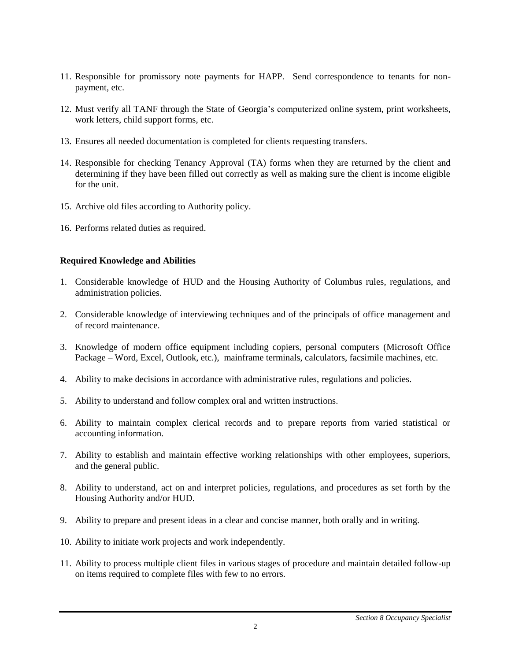- 11. Responsible for promissory note payments for HAPP. Send correspondence to tenants for nonpayment, etc.
- 12. Must verify all TANF through the State of Georgia's computerized online system, print worksheets, work letters, child support forms, etc.
- 13. Ensures all needed documentation is completed for clients requesting transfers.
- 14. Responsible for checking Tenancy Approval (TA) forms when they are returned by the client and determining if they have been filled out correctly as well as making sure the client is income eligible for the unit.
- 15. Archive old files according to Authority policy.
- 16. Performs related duties as required.

# **Required Knowledge and Abilities**

- 1. Considerable knowledge of HUD and the Housing Authority of Columbus rules, regulations, and administration policies.
- 2. Considerable knowledge of interviewing techniques and of the principals of office management and of record maintenance.
- 3. Knowledge of modern office equipment including copiers, personal computers (Microsoft Office Package – Word, Excel, Outlook, etc.), mainframe terminals, calculators, facsimile machines, etc.
- 4. Ability to make decisions in accordance with administrative rules, regulations and policies.
- 5. Ability to understand and follow complex oral and written instructions.
- 6. Ability to maintain complex clerical records and to prepare reports from varied statistical or accounting information.
- 7. Ability to establish and maintain effective working relationships with other employees, superiors, and the general public.
- 8. Ability to understand, act on and interpret policies, regulations, and procedures as set forth by the Housing Authority and/or HUD.
- 9. Ability to prepare and present ideas in a clear and concise manner, both orally and in writing.
- 10. Ability to initiate work projects and work independently.
- 11. Ability to process multiple client files in various stages of procedure and maintain detailed follow-up on items required to complete files with few to no errors.